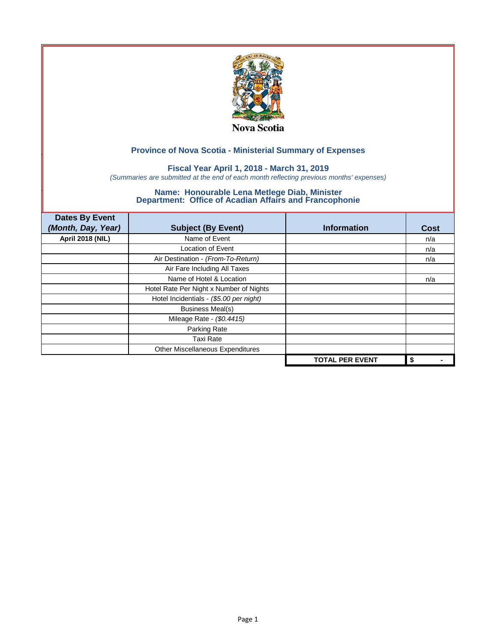

## **Fiscal Year April 1, 2018 - March 31, 2019**

*(Summaries are submitted at the end of each month reflecting previous months' expenses)*

| <b>Dates By Event</b>   |                                         |                        |             |
|-------------------------|-----------------------------------------|------------------------|-------------|
| (Month, Day, Year)      | <b>Subject (By Event)</b>               | <b>Information</b>     | <b>Cost</b> |
| <b>April 2018 (NIL)</b> | Name of Event                           |                        | n/a         |
|                         | Location of Event                       |                        | n/a         |
|                         | Air Destination - (From-To-Return)      |                        | n/a         |
|                         | Air Fare Including All Taxes            |                        |             |
|                         | Name of Hotel & Location                |                        | n/a         |
|                         | Hotel Rate Per Night x Number of Nights |                        |             |
|                         | Hotel Incidentials - (\$5.00 per night) |                        |             |
|                         | <b>Business Meal(s)</b>                 |                        |             |
|                         | Mileage Rate - (\$0.4415)               |                        |             |
|                         | Parking Rate                            |                        |             |
|                         | <b>Taxi Rate</b>                        |                        |             |
|                         | Other Miscellaneous Expenditures        |                        |             |
|                         |                                         | <b>TOTAL PER EVENT</b> | \$          |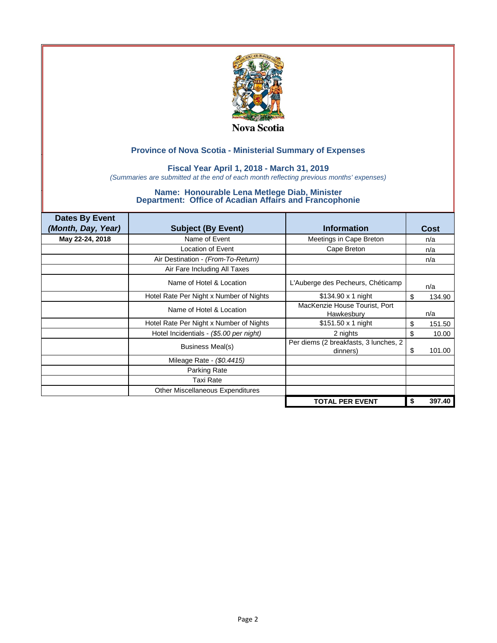

## **Fiscal Year April 1, 2018 - March 31, 2019**

*(Summaries are submitted at the end of each month reflecting previous months' expenses)*

| <b>Dates By Event</b><br>(Month, Day, Year) | <b>Subject (By Event)</b>               | <b>Information</b>                                | Cost         |
|---------------------------------------------|-----------------------------------------|---------------------------------------------------|--------------|
| May 22-24, 2018                             | Name of Event                           | Meetings in Cape Breton                           | n/a          |
|                                             | Location of Event                       | Cape Breton                                       | n/a          |
|                                             | Air Destination - (From-To-Return)      |                                                   | n/a          |
|                                             | Air Fare Including All Taxes            |                                                   |              |
|                                             | Name of Hotel & Location                | L'Auberge des Pecheurs, Chéticamp                 | n/a          |
|                                             | Hotel Rate Per Night x Number of Nights | $$134.90 \times 1$ night                          | \$<br>134.90 |
|                                             | Name of Hotel & Location                | MacKenzie House Tourist, Port<br>Hawkesbury       | n/a          |
|                                             | Hotel Rate Per Night x Number of Nights | \$151.50 x 1 night                                | \$<br>151.50 |
|                                             | Hotel Incidentials - (\$5.00 per night) | 2 nights                                          | \$<br>10.00  |
|                                             | Business Meal(s)                        | Per diems (2 breakfasts, 3 lunches, 2<br>dinners) | 101.00<br>S  |
|                                             | Mileage Rate - (\$0.4415)               |                                                   |              |
|                                             | Parking Rate                            |                                                   |              |
|                                             | <b>Taxi Rate</b>                        |                                                   |              |
|                                             | Other Miscellaneous Expenditures        |                                                   |              |
|                                             |                                         | <b>TOTAL PER EVENT</b>                            | 397.40<br>\$ |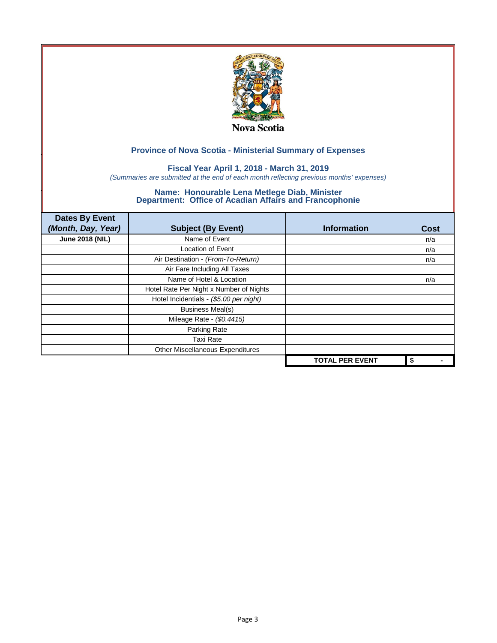

## **Fiscal Year April 1, 2018 - March 31, 2019**

*(Summaries are submitted at the end of each month reflecting previous months' expenses)*

| <b>Dates By Event</b><br>(Month, Day, Year) | <b>Subject (By Event)</b>               | <b>Information</b>     | <b>Cost</b> |
|---------------------------------------------|-----------------------------------------|------------------------|-------------|
| <b>June 2018 (NIL)</b>                      | Name of Event                           |                        | n/a         |
|                                             | <b>Location of Event</b>                |                        | n/a         |
|                                             | Air Destination - (From-To-Return)      |                        | n/a         |
|                                             | Air Fare Including All Taxes            |                        |             |
|                                             | Name of Hotel & Location                |                        | n/a         |
|                                             | Hotel Rate Per Night x Number of Nights |                        |             |
|                                             | Hotel Incidentials - (\$5.00 per night) |                        |             |
|                                             | <b>Business Meal(s)</b>                 |                        |             |
|                                             | Mileage Rate - (\$0.4415)               |                        |             |
|                                             | Parking Rate                            |                        |             |
|                                             | <b>Taxi Rate</b>                        |                        |             |
|                                             | Other Miscellaneous Expenditures        |                        |             |
|                                             |                                         | <b>TOTAL PER EVENT</b> | \$          |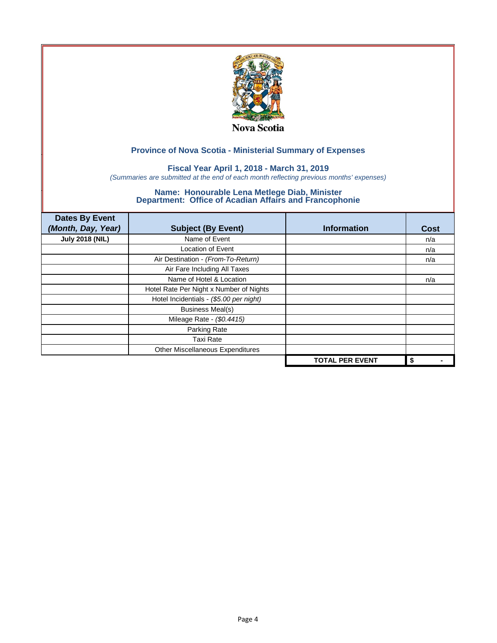

## **Fiscal Year April 1, 2018 - March 31, 2019**

*(Summaries are submitted at the end of each month reflecting previous months' expenses)*

| <b>Dates By Event</b><br>(Month, Day, Year) | <b>Subject (By Event)</b>               | <b>Information</b>     | <b>Cost</b> |
|---------------------------------------------|-----------------------------------------|------------------------|-------------|
| <b>July 2018 (NIL)</b>                      | Name of Event                           |                        | n/a         |
|                                             | <b>Location of Event</b>                |                        | n/a         |
|                                             | Air Destination - (From-To-Return)      |                        | n/a         |
|                                             | Air Fare Including All Taxes            |                        |             |
|                                             | Name of Hotel & Location                |                        | n/a         |
|                                             | Hotel Rate Per Night x Number of Nights |                        |             |
|                                             | Hotel Incidentials - (\$5.00 per night) |                        |             |
|                                             | <b>Business Meal(s)</b>                 |                        |             |
|                                             | Mileage Rate - (\$0.4415)               |                        |             |
|                                             | Parking Rate                            |                        |             |
|                                             | <b>Taxi Rate</b>                        |                        |             |
|                                             | Other Miscellaneous Expenditures        |                        |             |
|                                             |                                         | <b>TOTAL PER EVENT</b> | \$          |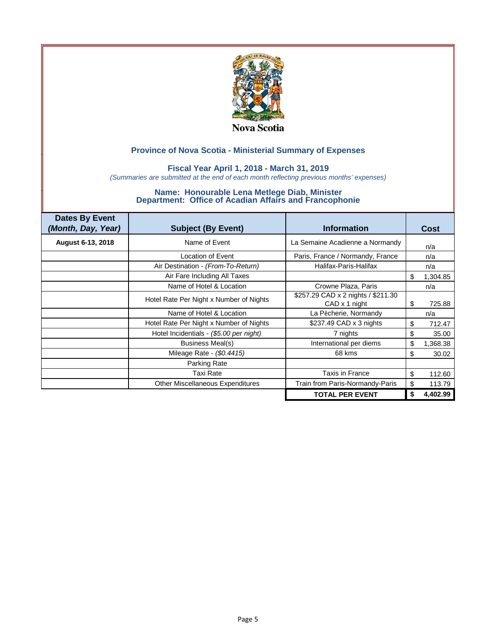

## **Fiscal Year April 1, 2018 - March 31, 2019**

*(Summaries are submitted at the end of each month reflecting previous months' expenses)*

| <b>Dates By Event</b><br>(Month, Day, Year) | <b>Subject (By Event)</b>               | <b>Information</b>                                  | Cost           |
|---------------------------------------------|-----------------------------------------|-----------------------------------------------------|----------------|
| August 6-13, 2018                           | Name of Event                           | La Semaine Acadienne a Normandy                     | n/a            |
|                                             | Location of Event                       | Paris, France / Normandy, France                    | n/a            |
|                                             | Air Destination - (From-To-Return)      | Halifax-Paris-Halifax                               | n/a            |
|                                             | Air Fare Including All Taxes            |                                                     | \$<br>1,304.85 |
|                                             | Name of Hotel & Location                | Crowne Plaza, Paris                                 | n/a            |
|                                             | Hotel Rate Per Night x Number of Nights | \$257.29 CAD x 2 nights / \$211.30<br>CAD x 1 night | \$<br>725.88   |
|                                             | Name of Hotel & Location                | La Pêcherie, Normandy                               | n/a            |
|                                             | Hotel Rate Per Night x Number of Nights | \$237.49 CAD x 3 nights                             | \$<br>712.47   |
|                                             | Hotel Incidentials - (\$5.00 per night) | 7 nights                                            | \$<br>35.00    |
|                                             | Business Meal(s)                        | International per diems                             | \$<br>1,368.38 |
|                                             | Mileage Rate - (\$0.4415)               | 68 kms                                              | \$<br>30.02    |
|                                             | Parking Rate                            |                                                     |                |
|                                             | <b>Taxi Rate</b>                        | Taxis in France                                     | \$<br>112.60   |
|                                             | <b>Other Miscellaneous Expenditures</b> | Train from Paris-Normandy-Paris                     | 113.79         |
|                                             |                                         | <b>TOTAL PER EVENT</b>                              | 4,402.99       |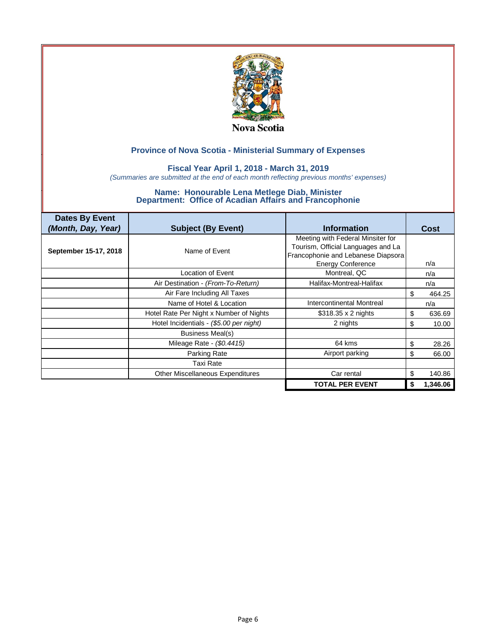

## **Fiscal Year April 1, 2018 - March 31, 2019**

*(Summaries are submitted at the end of each month reflecting previous months' expenses)*

| <b>Dates By Event</b><br>(Month, Day, Year) | <b>Subject (By Event)</b>               | <b>Information</b>                 | Cost           |
|---------------------------------------------|-----------------------------------------|------------------------------------|----------------|
|                                             |                                         | Meeting with Federal Minsiter for  |                |
|                                             |                                         | Tourism, Official Languages and La |                |
| September 15-17, 2018                       | Name of Event                           | Francophonie and Lebanese Diapsora |                |
|                                             |                                         | <b>Energy Conference</b>           | n/a            |
|                                             | Location of Event                       | Montreal, QC                       | n/a            |
|                                             | Air Destination - (From-To-Return)      | Halifax-Montreal-Halifax           | n/a            |
|                                             | Air Fare Including All Taxes            |                                    | \$<br>464.25   |
|                                             | Name of Hotel & Location                | Intercontinental Montreal          | n/a            |
|                                             | Hotel Rate Per Night x Number of Nights | $$318.35 \times 2$ nights          | \$<br>636.69   |
|                                             | Hotel Incidentials - (\$5.00 per night) | 2 nights                           | \$<br>10.00    |
|                                             | Business Meal(s)                        |                                    |                |
|                                             | Mileage Rate - (\$0.4415)               | 64 kms                             | \$<br>28.26    |
|                                             | Parking Rate                            | Airport parking                    | \$<br>66.00    |
|                                             | <b>Taxi Rate</b>                        |                                    |                |
|                                             | <b>Other Miscellaneous Expenditures</b> | Car rental                         | \$<br>140.86   |
|                                             |                                         | <b>TOTAL PER EVENT</b>             | \$<br>1,346.06 |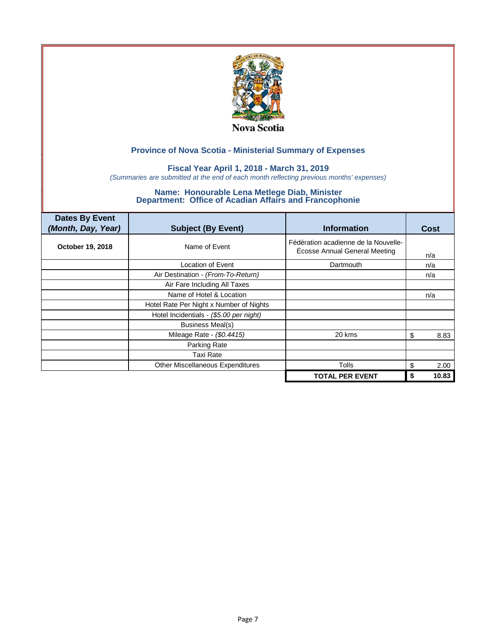

## **Fiscal Year April 1, 2018 - March 31, 2019**

*(Summaries are submitted at the end of each month reflecting previous months' expenses)*

| <b>Dates By Event</b><br>(Month, Day, Year) | <b>Subject (By Event)</b>               | <b>Information</b>                                                           | Cost       |
|---------------------------------------------|-----------------------------------------|------------------------------------------------------------------------------|------------|
| October 19, 2018                            | Name of Event                           | Fédération acadienne de la Nouvelle-<br><b>Écosse Annual General Meeting</b> | n/a        |
|                                             | Location of Event                       | <b>Dartmouth</b>                                                             | n/a        |
|                                             | Air Destination - (From-To-Return)      |                                                                              | n/a        |
|                                             | Air Fare Including All Taxes            |                                                                              |            |
|                                             | Name of Hotel & Location                |                                                                              | n/a        |
|                                             | Hotel Rate Per Night x Number of Nights |                                                                              |            |
|                                             | Hotel Incidentials - (\$5.00 per night) |                                                                              |            |
|                                             | <b>Business Meal(s)</b>                 |                                                                              |            |
|                                             | Mileage Rate - (\$0.4415)               | 20 kms                                                                       | 8.83<br>\$ |
|                                             | Parking Rate                            |                                                                              |            |
|                                             | Taxi Rate                               |                                                                              |            |
|                                             | Other Miscellaneous Expenditures        | <b>Tolls</b>                                                                 | 2.00<br>\$ |
|                                             |                                         | <b>TOTAL PER EVENT</b>                                                       | 10.83      |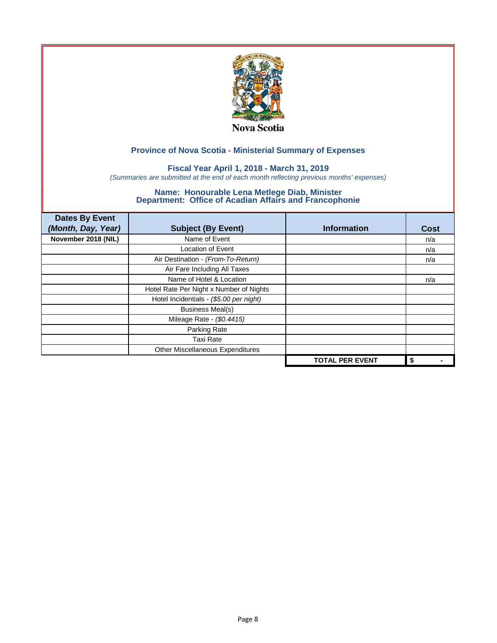

## **Fiscal Year April 1, 2018 - March 31, 2019**

*(Summaries are submitted at the end of each month reflecting previous months' expenses)*

| <b>Dates By Event</b><br>(Month, Day, Year) | <b>Subject (By Event)</b>               | <b>Information</b>     | <b>Cost</b> |
|---------------------------------------------|-----------------------------------------|------------------------|-------------|
|                                             | Name of Event                           |                        |             |
| November 2018 (NIL)                         |                                         |                        | n/a         |
|                                             | <b>Location of Event</b>                |                        | n/a         |
|                                             | Air Destination - (From-To-Return)      |                        | n/a         |
|                                             | Air Fare Including All Taxes            |                        |             |
|                                             | Name of Hotel & Location                |                        | n/a         |
|                                             | Hotel Rate Per Night x Number of Nights |                        |             |
|                                             | Hotel Incidentials - (\$5.00 per night) |                        |             |
|                                             | <b>Business Meal(s)</b>                 |                        |             |
|                                             | Mileage Rate - (\$0.4415)               |                        |             |
|                                             | Parking Rate                            |                        |             |
|                                             | <b>Taxi Rate</b>                        |                        |             |
|                                             | Other Miscellaneous Expenditures        |                        |             |
|                                             |                                         | <b>TOTAL PER EVENT</b> | \$          |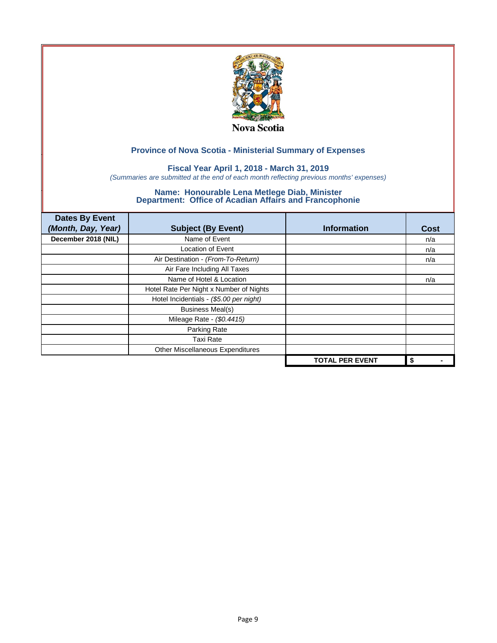

## **Fiscal Year April 1, 2018 - March 31, 2019**

*(Summaries are submitted at the end of each month reflecting previous months' expenses)*

| <b>Dates By Event</b><br>(Month, Day, Year) | <b>Subject (By Event)</b>               | <b>Information</b>     | <b>Cost</b> |
|---------------------------------------------|-----------------------------------------|------------------------|-------------|
| December 2018 (NIL)                         | Name of Event                           |                        | n/a         |
|                                             | <b>Location of Event</b>                |                        | n/a         |
|                                             | Air Destination - (From-To-Return)      |                        | n/a         |
|                                             | Air Fare Including All Taxes            |                        |             |
|                                             | Name of Hotel & Location                |                        | n/a         |
|                                             | Hotel Rate Per Night x Number of Nights |                        |             |
|                                             | Hotel Incidentials - (\$5.00 per night) |                        |             |
|                                             | <b>Business Meal(s)</b>                 |                        |             |
|                                             | Mileage Rate - (\$0.4415)               |                        |             |
|                                             | Parking Rate                            |                        |             |
|                                             | <b>Taxi Rate</b>                        |                        |             |
|                                             | Other Miscellaneous Expenditures        |                        |             |
|                                             |                                         | <b>TOTAL PER EVENT</b> | \$          |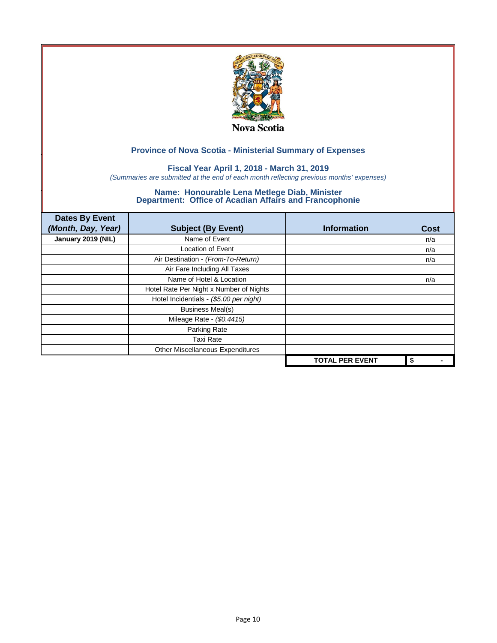

## **Fiscal Year April 1, 2018 - March 31, 2019**

*(Summaries are submitted at the end of each month reflecting previous months' expenses)*

| <b>Dates By Event</b><br>(Month, Day, Year) | <b>Subject (By Event)</b>               | <b>Information</b>     | <b>Cost</b> |
|---------------------------------------------|-----------------------------------------|------------------------|-------------|
| January 2019 (NIL)                          | Name of Event                           |                        | n/a         |
|                                             | Location of Event                       |                        | n/a         |
|                                             | Air Destination - (From-To-Return)      |                        | n/a         |
|                                             | Air Fare Including All Taxes            |                        |             |
|                                             | Name of Hotel & Location                |                        | n/a         |
|                                             | Hotel Rate Per Night x Number of Nights |                        |             |
|                                             | Hotel Incidentials - (\$5.00 per night) |                        |             |
|                                             | <b>Business Meal(s)</b>                 |                        |             |
|                                             | Mileage Rate - (\$0.4415)               |                        |             |
|                                             | Parking Rate                            |                        |             |
|                                             | Taxi Rate                               |                        |             |
|                                             | Other Miscellaneous Expenditures        |                        |             |
|                                             |                                         | <b>TOTAL PER EVENT</b> | \$          |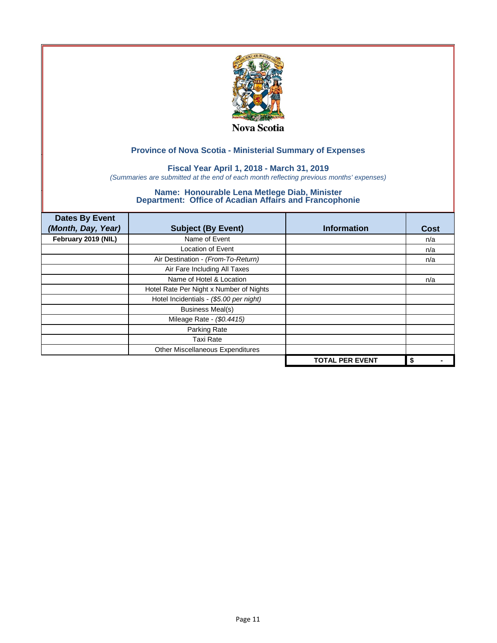

## **Fiscal Year April 1, 2018 - March 31, 2019**

*(Summaries are submitted at the end of each month reflecting previous months' expenses)*

| <b>Dates By Event</b><br>(Month, Day, Year) | <b>Subject (By Event)</b>               | <b>Information</b>     | <b>Cost</b> |
|---------------------------------------------|-----------------------------------------|------------------------|-------------|
| February 2019 (NIL)                         | Name of Event                           |                        | n/a         |
|                                             | Location of Event                       |                        | n/a         |
|                                             | Air Destination - (From-To-Return)      |                        | n/a         |
|                                             | Air Fare Including All Taxes            |                        |             |
|                                             | Name of Hotel & Location                |                        | n/a         |
|                                             | Hotel Rate Per Night x Number of Nights |                        |             |
|                                             | Hotel Incidentials - (\$5.00 per night) |                        |             |
|                                             | <b>Business Meal(s)</b>                 |                        |             |
|                                             | Mileage Rate - (\$0.4415)               |                        |             |
|                                             | Parking Rate                            |                        |             |
|                                             | <b>Taxi Rate</b>                        |                        |             |
|                                             | Other Miscellaneous Expenditures        |                        |             |
|                                             |                                         | <b>TOTAL PER EVENT</b> | \$          |